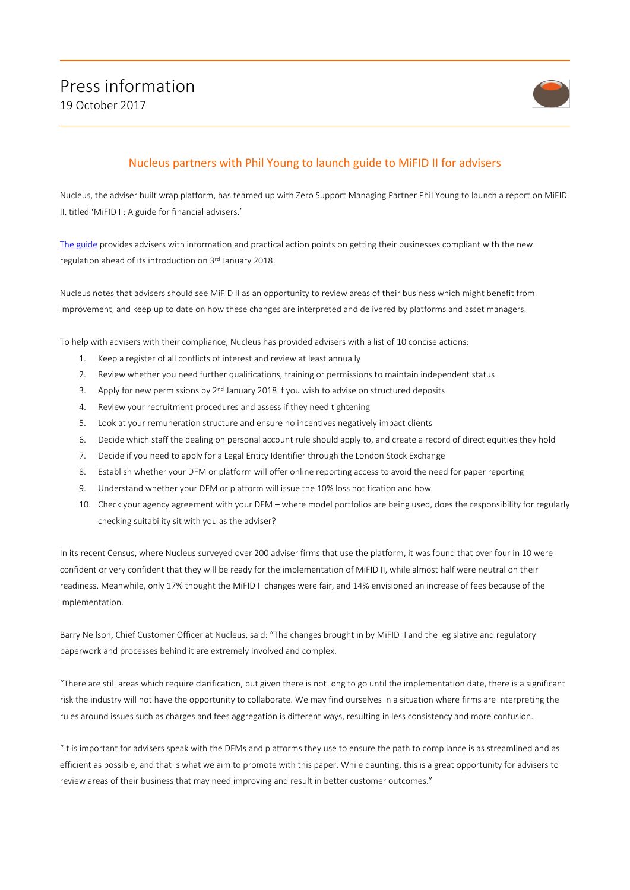

## Nucleus partners with Phil Young to launch guide to MiFID II for advisers

Nucleus, the adviser built wrap platform, has teamed up with Zero Support Managing Partner Phil Young to launch a report on MiFID II, titled 'MiFID II: A guide for financial advisers.'

[The guide](https://illuminate.nucleusfinancial.com/technical-studio/mifid2/) provides advisers with information and practical action points on getting their businesses compliant with the new regulation ahead of its introduction on 3rd January 2018.

Nucleus notes that advisers should see MiFID II as an opportunity to review areas of their business which might benefit from improvement, and keep up to date on how these changes are interpreted and delivered by platforms and asset managers.

To help with advisers with their compliance, Nucleus has provided advisers with a list of 10 concise actions:

- 1. Keep a register of all conflicts of interest and review at least annually
- 2. Review whether you need further qualifications, training or permissions to maintain independent status
- 3. Apply for new permissions by  $2<sup>nd</sup>$  January 2018 if you wish to advise on structured deposits
- 4. Review your recruitment procedures and assess if they need tightening
- 5. Look at your remuneration structure and ensure no incentives negatively impact clients
- 6. Decide which staff the dealing on personal account rule should apply to, and create a record of direct equities they hold
- 7. Decide if you need to apply for a Legal Entity Identifier through the London Stock Exchange
- 8. Establish whether your DFM or platform will offer online reporting access to avoid the need for paper reporting
- 9. Understand whether your DFM or platform will issue the 10% loss notification and how
- 10. Check your agency agreement with your DFM where model portfolios are being used, does the responsibility for regularly checking suitability sit with you as the adviser?

In its recent Census, where Nucleus surveyed over 200 adviser firms that use the platform, it was found that over four in 10 were confident or very confident that they will be ready for the implementation of MiFID II, while almost half were neutral on their readiness. Meanwhile, only 17% thought the MiFID II changes were fair, and 14% envisioned an increase of fees because of the implementation.

Barry Neilson, Chief Customer Officer at Nucleus, said: "The changes brought in by MiFID II and the legislative and regulatory paperwork and processes behind it are extremely involved and complex.

"There are still areas which require clarification, but given there is not long to go until the implementation date, there is a significant risk the industry will not have the opportunity to collaborate. We may find ourselves in a situation where firms are interpreting the rules around issues such as charges and fees aggregation is different ways, resulting in less consistency and more confusion.

"It is important for advisers speak with the DFMs and platforms they use to ensure the path to compliance is as streamlined and as efficient as possible, and that is what we aim to promote with this paper. While daunting, this is a great opportunity for advisers to review areas of their business that may need improving and result in better customer outcomes."